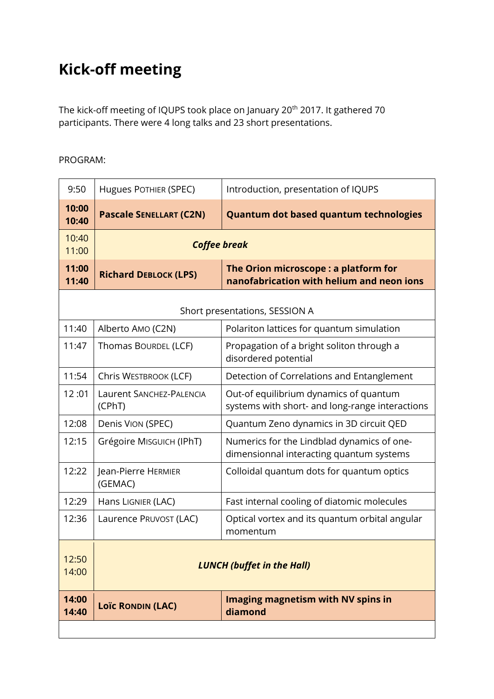## **Kick-off meeting**

The kick-off meeting of IQUPS took place on January 20<sup>th</sup> 2017. It gathered 70 participants. There were 4 long talks and 23 short presentations.

## PROGRAM:

| 9:50                           | Hugues POTHIER (SPEC)              | Introduction, presentation of IQUPS                                                       |
|--------------------------------|------------------------------------|-------------------------------------------------------------------------------------------|
| 10:00<br>10:40                 | <b>Pascale SENELLART (C2N)</b>     | <b>Quantum dot based quantum technologies</b>                                             |
| 10:40<br>11:00                 | <b>Coffee break</b>                |                                                                                           |
| 11:00<br>11:40                 | <b>Richard DEBLOCK (LPS)</b>       | The Orion microscope: a platform for<br>nanofabrication with helium and neon ions         |
| Short presentations, SESSION A |                                    |                                                                                           |
| 11:40                          | Alberto AMO (C2N)                  | Polariton lattices for quantum simulation                                                 |
| 11:47                          | Thomas BOURDEL (LCF)               | Propagation of a bright soliton through a<br>disordered potential                         |
| 11:54                          | Chris WESTBROOK (LCF)              | Detection of Correlations and Entanglement                                                |
| 12:01                          | Laurent SANCHEZ-PALENCIA<br>(CPhT) | Out-of equilibrium dynamics of quantum<br>systems with short- and long-range interactions |
| 12:08                          | Denis VION (SPEC)                  | Quantum Zeno dynamics in 3D circuit QED                                                   |
| 12:15                          | Grégoire MIsGUICH (IPhT)           | Numerics for the Lindblad dynamics of one-<br>dimensionnal interacting quantum systems    |
| 12:22                          | Jean-Pierre HERMIER<br>(GEMAC)     | Colloidal quantum dots for quantum optics                                                 |
| 12:29                          | Hans LIGNIER (LAC)                 | Fast internal cooling of diatomic molecules                                               |
| 12:36                          | Laurence PRUVOST (LAC)             | Optical vortex and its quantum orbital angular<br>momentum                                |
| 12:50<br>14:00                 | <b>LUNCH (buffet in the Hall)</b>  |                                                                                           |
| 14:00<br>14:40                 | <b>Loïc RONDIN (LAC)</b>           | Imaging magnetism with NV spins in<br>diamond                                             |
|                                |                                    |                                                                                           |